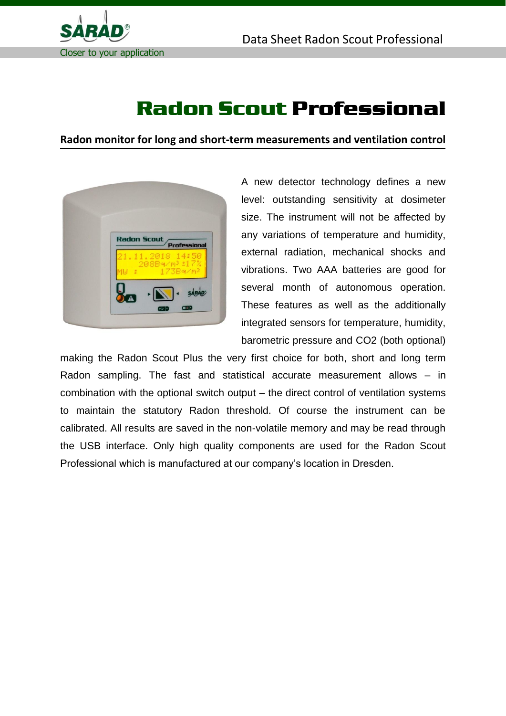

## Radon Scout Professional

**Radon monitor for long and short-term measurements and ventilation control**



A new detector technology defines a new level: outstanding sensitivity at dosimeter size. The instrument will not be affected by any variations of temperature and humidity, external radiation, mechanical shocks and vibrations. Two AAA batteries are good for several month of autonomous operation. These features as well as the additionally integrated sensors for temperature, humidity, barometric pressure and CO2 (both optional)

making the Radon Scout Plus the very first choice for both, short and long term Radon sampling. The fast and statistical accurate measurement allows – in combination with the optional switch output – the direct control of ventilation systems to maintain the statutory Radon threshold. Of course the instrument can be calibrated. All results are saved in the non-volatile memory and may be read through the USB interface. Only high quality components are used for the Radon Scout Professional which is manufactured at our company's location in Dresden.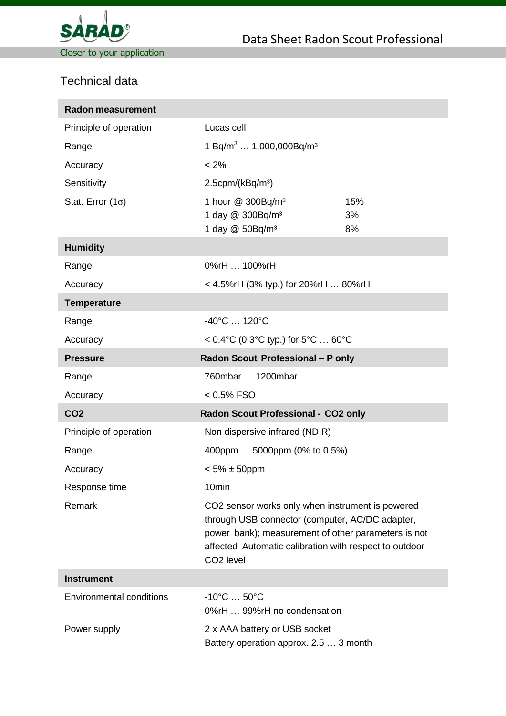

## Technical data

| <b>Radon measurement</b>        |                                                                                                                                                                                                                                               |                 |
|---------------------------------|-----------------------------------------------------------------------------------------------------------------------------------------------------------------------------------------------------------------------------------------------|-----------------|
| Principle of operation          | Lucas cell                                                                                                                                                                                                                                    |                 |
| Range                           | 1 Bq/m <sup>3</sup> 1,000,000Bq/m <sup>3</sup>                                                                                                                                                                                                |                 |
| Accuracy                        | $< 2\%$                                                                                                                                                                                                                                       |                 |
| Sensitivity                     | $2.5$ cpm/(kBq/m <sup>3</sup> )                                                                                                                                                                                                               |                 |
| Stat. Error $(1\sigma)$         | 1 hour @ 300Bq/m <sup>3</sup><br>1 day @ 300Bq/m <sup>3</sup><br>1 day @ 50Bq/m <sup>3</sup>                                                                                                                                                  | 15%<br>3%<br>8% |
| <b>Humidity</b>                 |                                                                                                                                                                                                                                               |                 |
| Range                           | 0%rH  100%rH                                                                                                                                                                                                                                  |                 |
| Accuracy                        | < 4.5%rH (3% typ.) for 20%rH  80%rH                                                                                                                                                                                                           |                 |
| <b>Temperature</b>              |                                                                                                                                                                                                                                               |                 |
| Range                           | $-40^{\circ}$ C  120 $^{\circ}$ C                                                                                                                                                                                                             |                 |
| Accuracy                        | < $0.4^{\circ}C$ (0.3 $^{\circ}C$ typ.) for 5 $^{\circ}C$ 60 $^{\circ}C$                                                                                                                                                                      |                 |
| <b>Pressure</b>                 | Radon Scout Professional - P only                                                                                                                                                                                                             |                 |
| Range                           | 760mbar  1200mbar                                                                                                                                                                                                                             |                 |
| Accuracy                        | $< 0.5\%$ FSO                                                                                                                                                                                                                                 |                 |
| CO <sub>2</sub>                 | Radon Scout Professional - CO2 only                                                                                                                                                                                                           |                 |
| Principle of operation          | Non dispersive infrared (NDIR)                                                                                                                                                                                                                |                 |
| Range                           | 400ppm  5000ppm (0% to 0.5%)                                                                                                                                                                                                                  |                 |
| Accuracy                        | $< 5\% \pm 50$ ppm                                                                                                                                                                                                                            |                 |
| Response time                   | 10min                                                                                                                                                                                                                                         |                 |
| Remark                          | CO2 sensor works only when instrument is powered<br>through USB connector (computer, AC/DC adapter,<br>power bank); measurement of other parameters is not<br>affected Automatic calibration with respect to outdoor<br>CO <sub>2</sub> level |                 |
| <b>Instrument</b>               |                                                                                                                                                                                                                                               |                 |
| <b>Environmental conditions</b> | $-10^{\circ}$ C $50^{\circ}$ C<br>0%rH  99%rH no condensation                                                                                                                                                                                 |                 |
| Power supply                    | 2 x AAA battery or USB socket<br>Battery operation approx. 2.5  3 month                                                                                                                                                                       |                 |